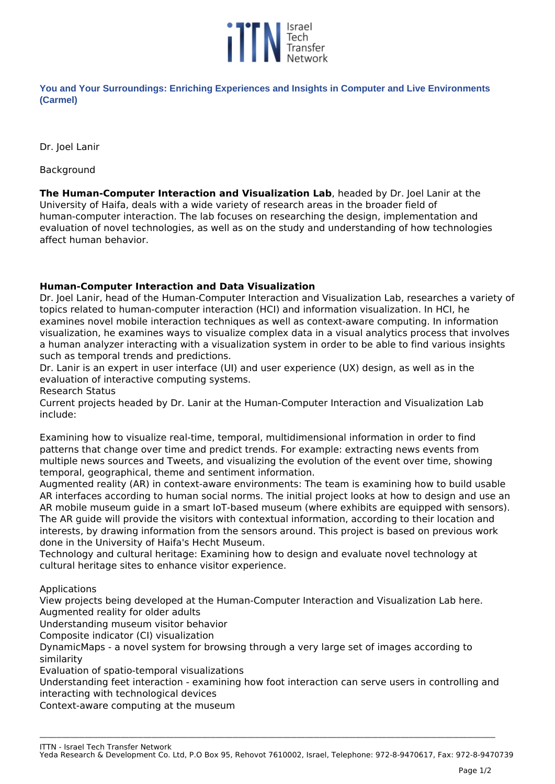

**You and Your Surroundings: Enriching Experiences and Insights in Computer and Live Environments (Carmel)** 

*Dr. Joel Lanir*

*Background*

**The Human-Computer Interaction and Visualization Lab***, headed by Dr. Joel Lanir at the University of Haifa, deals with a wide variety of research areas in the broader field of human-computer interaction. The lab focuses on researching the design, implementation and evaluation of novel technologies, as well as on the study and understanding of how technologies affect human behavior.*

## **Human-Computer Interaction and Data Visualization**

*Dr. Joel Lanir, head of the Human-Computer Interaction and Visualization Lab, researches a variety of topics related to human-computer interaction (HCI) and information visualization. In HCI, he examines novel mobile interaction techniques as well as context-aware computing. In information visualization, he examines ways to visualize complex data in a visual analytics process that involves a human analyzer interacting with a visualization system in order to be able to find various insights such as temporal trends and predictions.*

*Dr. Lanir is an expert in user interface (UI) and user experience (UX) design, as well as in the evaluation of interactive computing systems.*

*Research Status*

*Current projects headed by Dr. Lanir at the Human-Computer Interaction and Visualization Lab include:*

*Examining how to visualize real-time, temporal, multidimensional information in order to find patterns that change over time and predict trends. For example: extracting news events from multiple news sources and Tweets, and visualizing the evolution of the event over time, showing temporal, geographical, theme and sentiment information.*

*Augmented reality (AR) in context-aware environments: The team is examining how to build usable AR interfaces according to human social norms. The initial project looks at how to design and use an AR mobile museum guide in a smart IoT-based museum (where exhibits are equipped with sensors). The AR guide will provide the visitors with contextual information, according to their location and interests, by drawing information from the sensors around. This project is based on previous work done in the University of Haifa's Hecht Museum.*

*Technology and cultural heritage: Examining how to design and evaluate novel technology at cultural heritage sites to enhance visitor experience.*

*Applications*

*View projects being developed at the Human-Computer Interaction and Visualization Lab here. Augmented reality for older adults*

*Understanding museum visitor behavior*

*Composite indicator (CI) visualization*

*DynamicMaps - a novel system for browsing through a very large set of images according to similarity*

*Evaluation of spatio-temporal visualizations*

*Understanding feet interaction - examining how foot interaction can serve users in controlling and interacting with technological devices*

**\_\_\_\_\_\_\_\_\_\_\_\_\_\_\_\_\_\_\_\_\_\_\_\_\_\_\_\_\_\_\_\_\_\_\_\_\_\_\_\_\_\_\_\_\_\_\_\_\_\_\_\_\_\_\_\_\_\_\_\_\_\_\_\_\_\_\_\_\_\_\_\_\_\_\_\_\_\_\_\_\_\_\_\_\_\_\_\_\_\_\_\_\_\_\_\_\_\_\_\_\_\_\_\_\_\_\_\_\_\_\_\_\_\_\_\_\_\_\_\_\_\_\_\_\_\_\_\_\_\_\_\_\_\_\_\_\_\_\_\_\_\_\_\_\_\_\_\_\_\_\_\_\_\_\_\_\_\_\_\_\_\_\_**

*Context-aware computing at the museum*